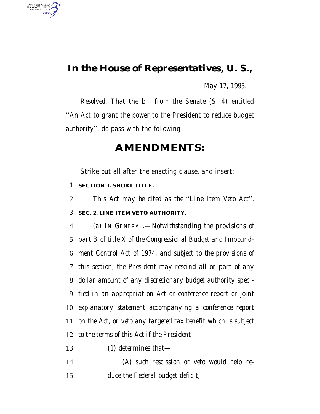## *In the House of Representatives, U. S.,*

*May 17, 1995.*

*Resolved,* That the bill from the Senate (S. 4) entitled ''An Act to grant the power to the President to reduce budget authority'', do pass with the following

### **AMENDMENTS:**

Strike out all after the enacting clause, and insert:

#### *SECTION 1. SHORT TITLE.*

AUTHENTICATED<br>U.S. GOVERNMENT<br>INFORMATION GPO

*This Act may be cited as the ''Line Item Veto Act''.*

#### *SEC. 2. LINE ITEM VETO AUTHORITY.*

 *(a) IN GENERAL.—Notwithstanding the provisions of part B of title X of the Congressional Budget and Impound- ment Control Act of 1974, and subject to the provisions of this section, the President may rescind all or part of any dollar amount of any discretionary budget authority speci- fied in an appropriation Act or conference report or joint explanatory statement accompanying a conference report on the Act, or veto any targeted tax benefit which is subject to the terms of this Act if the President—*

*(1) determines that—*

 *(A) such rescission or veto would help re-duce the Federal budget deficit;*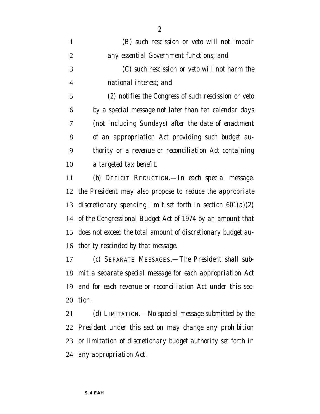| $\mathbf{1}$   | (B) such rescission or veto will not impair                   |
|----------------|---------------------------------------------------------------|
| $\overline{2}$ | any essential Government functions; and                       |
| 3              | (C) such rescission or veto will not harm the                 |
| $\overline{4}$ | national interest; and                                        |
| 5              | (2) notifies the Congress of such rescission or veto          |
| 6              | by a special message not later than ten calendar days         |
| 7              | (not including Sundays) after the date of enactment           |
| 8              | of an appropriation Act providing such budget au-             |
| 9              | thority or a revenue or reconciliation Act containing         |
| 10             | a targeted tax benefit.                                       |
| 11             | (b) DEFICIT REDUCTION.—In each special message,               |
| 12             | the President may also propose to reduce the appropriate      |
| 13             | discretionary spending limit set forth in section $601(a)(2)$ |
| 14             | of the Congressional Budget Act of 1974 by an amount that     |
| 15             | does not exceed the total amount of discretionary budget au-  |
| 16             | thority rescinded by that message.                            |
| 17             | (c) SEPARATE MESSAGES.—The President shall sub-               |
|                | 18 mit a separate special message for each appropriation Act  |
| 19             | and for each revenue or reconciliation Act under this sec-    |
| 20             | tion.                                                         |
| 21             | (d) LIMITATION.—No special message submitted by the           |
|                | 22 President under this section may change any prohibition    |

 *or limitation of discretionary budget authority set forth in any appropriation Act.*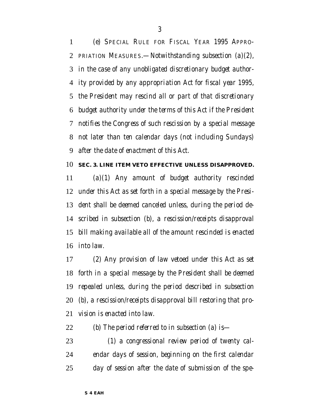*(e) SPECIAL RULE FOR FISCAL YEAR 1995 APPRO- PRIATION MEASURES.—Notwithstanding subsection (a)(2), in the case of any unobligated discretionary budget author- ity provided by any appropriation Act for fiscal year 1995, the President may rescind all or part of that discretionary budget authority under the terms of this Act if the President notifies the Congress of such rescission by a special message not later than ten calendar days (not including Sundays) after the date of enactment of this Act.*

#### *SEC. 3. LINE ITEM VETO EFFECTIVE UNLESS DISAPPROVED.*

 *(a)(1) Any amount of budget authority rescinded under this Act as set forth in a special message by the Presi- dent shall be deemed canceled unless, during the period de- scribed in subsection (b), a rescission/receipts disapproval bill making available all of the amount rescinded is enacted into law.*

 *(2) Any provision of law vetoed under this Act as set forth in a special message by the President shall be deemed repealed unless, during the period described in subsection (b), a rescission/receipts disapproval bill restoring that pro-vision is enacted into law.*

*(b) The period referred to in subsection (a) is—*

 *(1) a congressional review period of twenty cal- endar days of session, beginning on the first calendar day of session after the date of submission of the spe-*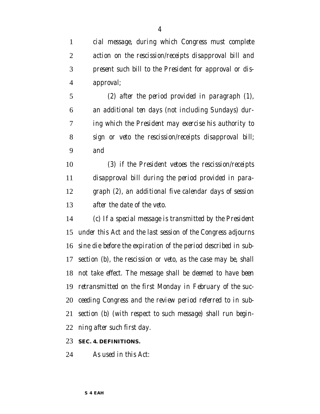*cial message, during which Congress must complete action on the rescission/receipts disapproval bill and present such bill to the President for approval or dis-approval;*

 *(2) after the period provided in paragraph (1), an additional ten days (not including Sundays) dur- ing which the President may exercise his authority to sign or veto the rescission/receipts disapproval bill; and*

 *(3) if the President vetoes the rescission/receipts disapproval bill during the period provided in para- graph (2), an additional five calendar days of session after the date of the veto.*

 *(c) If a special message is transmitted by the President under this Act and the last session of the Congress adjourns sine die before the expiration of the period described in sub- section (b), the rescission or veto, as the case may be, shall not take effect. The message shall be deemed to have been retransmitted on the first Monday in February of the suc- ceeding Congress and the review period referred to in sub- section (b) (with respect to such message) shall run begin-ning after such first day.*

#### *SEC. 4. DEFINITIONS.*

*As used in this Act:*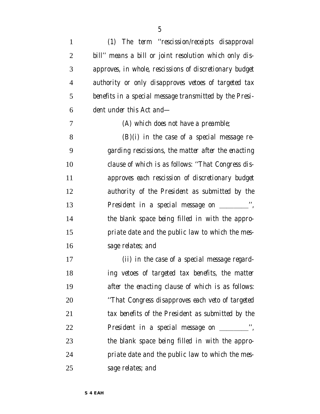| $\mathbf{1}$   | (1) The term "rescission/receipts disapproval           |
|----------------|---------------------------------------------------------|
| 2              | bill" means a bill or joint resolution which only dis-  |
| 3              | approves, in whole, rescissions of discretionary budget |
| $\overline{4}$ | authority or only disapproves vetoes of targeted tax    |
| 5              | benefits in a special message transmitted by the Presi- |
| 6              | dent under this Act and—                                |
| 7              | (A) which does not have a preamble;                     |
| 8              | $(B)(i)$ in the case of a special message re-           |
| 9              | garding rescissions, the matter after the enacting      |
| 10             | clause of which is as follows: "That Congress dis-      |
| 11             | approves each rescission of discretionary budget        |
| 12             | authority of the President as submitted by the          |
| 13             | President in a special message on ___________",         |
| 14             | the blank space being filled in with the appro-         |
| 15             | priate date and the public law to which the mes-        |
| 16             | sage relates; and                                       |
| 17             | (ii) in the case of a special message regard-           |
| 18             | ing vetoes of targeted tax benefits, the matter         |
| 19             | after the enacting clause of which is as follows:       |
| 20             | "That Congress disapproves each veto of targeted        |
| 21             | tax benefits of the President as submitted by the       |
| 22             | President in a special message on __________",          |
| 23             | the blank space being filled in with the appro-         |
| 24             | priate date and the public law to which the mes-        |
| 25             | sage relates; and                                       |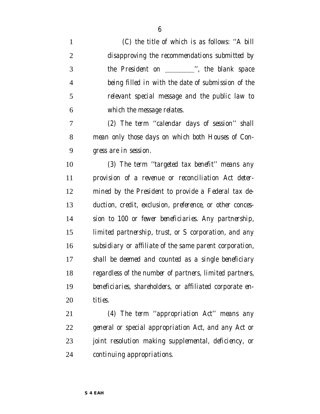| $\mathbf{1}$   | (C) the title of which is as follows: "A bill            |
|----------------|----------------------------------------------------------|
| $\overline{2}$ | disapproving the recommendations submitted by            |
| 3              | the President on __________", the blank space            |
| 4              | being filled in with the date of submission of the       |
| 5              | relevant special message and the public law to           |
| 6              | which the message relates.                               |
| 7              | (2) The term "calendar days of session" shall            |
| 8              | mean only those days on which both Houses of Con-        |
| 9              | gress are in session.                                    |
| 10             | (3) The term "targeted tax benefit" means any            |
| 11             | provision of a revenue or reconciliation Act deter-      |
| 12             | mined by the President to provide a Federal tax de-      |
| 13             | duction, credit, exclusion, preference, or other conces- |
| 14             | sion to 100 or fewer beneficiaries. Any partnership,     |
| 15             | limited partnership, trust, or S corporation, and any    |
| 16             | subsidiary or affiliate of the same parent corporation,  |
| 17             | shall be deemed and counted as a single beneficiary      |
| 18             | regardless of the number of partners, limited partners,  |
| 19             | beneficiaries, shareholders, or affiliated corporate en- |
| 20             | tities.                                                  |
| 21             | (4) The term "appropriation Act" means any               |
| 22             | general or special appropriation Act, and any Act or     |
|                |                                                          |

 *joint resolution making supplemental, deficiency, or continuing appropriations.*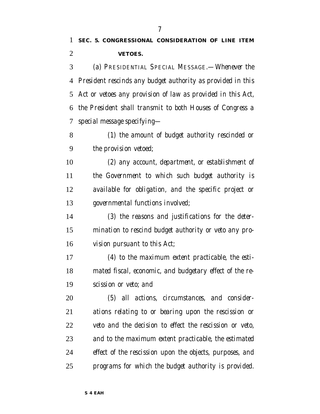## *SEC. 5. CONGRESSIONAL CONSIDERATION OF LINE ITEM VETOES.*

 *(a) PRESIDENTIAL SPECIAL MESSAGE.—Whenever the President rescinds any budget authority as provided in this Act or vetoes any provision of law as provided in this Act, the President shall transmit to both Houses of Congress a special message specifying—*

 *(1) the amount of budget authority rescinded or the provision vetoed;*

 *(2) any account, department, or establishment of the Government to which such budget authority is available for obligation, and the specific project or governmental functions involved;*

 *(3) the reasons and justifications for the deter- mination to rescind budget authority or veto any pro-vision pursuant to this Act;*

 *(4) to the maximum extent practicable, the esti- mated fiscal, economic, and budgetary effect of the re-scission or veto; and*

 *(5) all actions, circumstances, and consider- ations relating to or bearing upon the rescission or veto and the decision to effect the rescission or veto, and to the maximum extent practicable, the estimated effect of the rescission upon the objects, purposes, and programs for which the budget authority is provided.*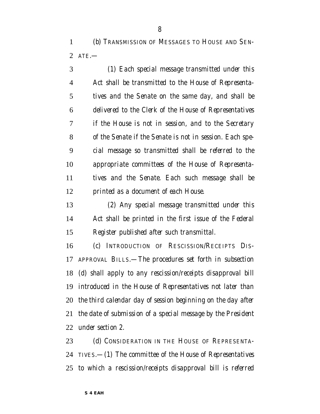*(b) TRANSMISSION OF MESSAGES TO HOUSE AND SEN-ATE.—*

 *(1) Each special message transmitted under this Act shall be transmitted to the House of Representa- tives and the Senate on the same day, and shall be delivered to the Clerk of the House of Representatives if the House is not in session, and to the Secretary of the Senate if the Senate is not in session. Each spe- cial message so transmitted shall be referred to the appropriate committees of the House of Representa- tives and the Senate. Each such message shall be printed as a document of each House.*

 *(2) Any special message transmitted under this Act shall be printed in the first issue of the Federal Register published after such transmittal.*

 *(c) INTRODUCTION OF RESCISSION/RECEIPTS DIS- APPROVAL BILLS.—The procedures set forth in subsection (d) shall apply to any rescission/receipts disapproval bill introduced in the House of Representatives not later than the third calendar day of session beginning on the day after the date of submission of a special message by the President under section 2.*

 *(d) CONSIDERATION IN THE HOUSE OF REPRESENTA- TIVES.—(1) The committee of the House of Representatives to which a rescission/receipts disapproval bill is referred*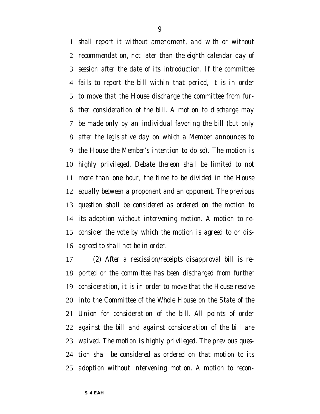*shall report it without amendment, and with or without recommendation, not later than the eighth calendar day of session after the date of its introduction. If the committee fails to report the bill within that period, it is in order to move that the House discharge the committee from fur- ther consideration of the bill. A motion to discharge may be made only by an individual favoring the bill (but only after the legislative day on which a Member announces to the House the Member's intention to do so). The motion is highly privileged. Debate thereon shall be limited to not more than one hour, the time to be divided in the House equally between a proponent and an opponent. The previous question shall be considered as ordered on the motion to its adoption without intervening motion. A motion to re- consider the vote by which the motion is agreed to or dis-agreed to shall not be in order.*

 *(2) After a rescission/receipts disapproval bill is re- ported or the committee has been discharged from further consideration, it is in order to move that the House resolve into the Committee of the Whole House on the State of the Union for consideration of the bill. All points of order against the bill and against consideration of the bill are waived. The motion is highly privileged. The previous ques- tion shall be considered as ordered on that motion to its adoption without intervening motion. A motion to recon-*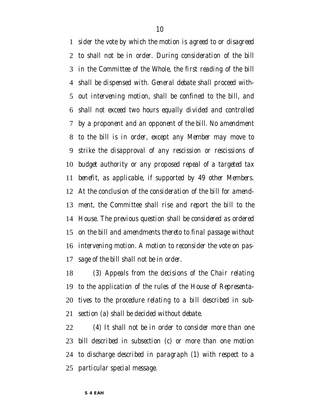*sider the vote by which the motion is agreed to or disagreed to shall not be in order. During consideration of the bill in the Committee of the Whole, the first reading of the bill shall be dispensed with. General debate shall proceed with- out intervening motion, shall be confined to the bill, and shall not exceed two hours equally divided and controlled by a proponent and an opponent of the bill. No amendment to the bill is in order, except any Member may move to strike the disapproval of any rescission or rescissions of budget authority or any proposed repeal of a targeted tax benefit, as applicable, if supported by 49 other Members. At the conclusion of the consideration of the bill for amend- ment, the Committee shall rise and report the bill to the House. The previous question shall be considered as ordered on the bill and amendments thereto to final passage without intervening motion. A motion to reconsider the vote on pas-sage of the bill shall not be in order.*

 *(3) Appeals from the decisions of the Chair relating to the application of the rules of the House of Representa- tives to the procedure relating to a bill described in sub-section (a) shall be decided without debate.*

 *(4) It shall not be in order to consider more than one bill described in subsection (c) or more than one motion to discharge described in paragraph (1) with respect to a particular special message.*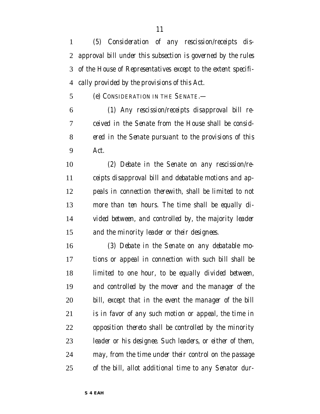*(5) Consideration of any rescission/receipts dis- approval bill under this subsection is governed by the rules of the House of Representatives except to the extent specifi-cally provided by the provisions of this Act.*

*(e) CONSIDERATION IN THE SENATE.—*

 *(1) Any rescission/receipts disapproval bill re- ceived in the Senate from the House shall be consid- ered in the Senate pursuant to the provisions of this Act.*

 *(2) Debate in the Senate on any rescission/re- ceipts disapproval bill and debatable motions and ap- peals in connection therewith, shall be limited to not more than ten hours. The time shall be equally di- vided between, and controlled by, the majority leader and the minority leader or their designees.*

 *(3) Debate in the Senate on any debatable mo- tions or appeal in connection with such bill shall be limited to one hour, to be equally divided between, and controlled by the mover and the manager of the bill, except that in the event the manager of the bill is in favor of any such motion or appeal, the time in opposition thereto shall be controlled by the minority leader or his designee. Such leaders, or either of them, may, from the time under their control on the passage of the bill, allot additional time to any Senator dur-*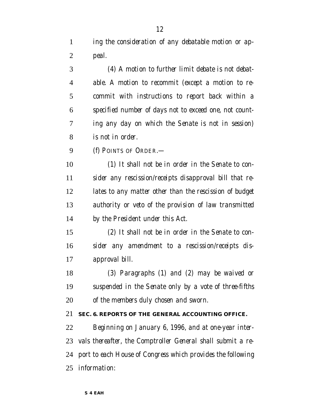*ing the consideration of any debatable motion or ap-peal.*

 *(4) A motion to further limit debate is not debat- able. A motion to recommit (except a motion to re- commit with instructions to report back within a specified number of days not to exceed one, not count- ing any day on which the Senate is not in session) is not in order.*

*(f) POINTS OF ORDER.—*

 *(1) It shall not be in order in the Senate to con- sider any rescission/receipts disapproval bill that re- lates to any matter other than the rescission of budget authority or veto of the provision of law transmitted by the President under this Act.*

 *(2) It shall not be in order in the Senate to con- sider any amendment to a rescission/receipts dis-approval bill.*

 *(3) Paragraphs (1) and (2) may be waived or suspended in the Senate only by a vote of three-fifths of the members duly chosen and sworn.*

#### *SEC. 6. REPORTS OF THE GENERAL ACCOUNTING OFFICE.*

 *Beginning on January 6, 1996, and at one-year inter- vals thereafter, the Comptroller General shall submit a re- port to each House of Congress which provides the following information:*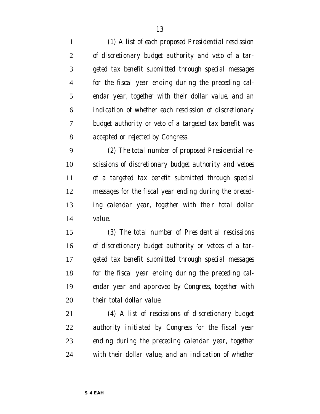*(1) A list of each proposed Presidential rescission of discretionary budget authority and veto of a tar- geted tax benefit submitted through special messages for the fiscal year ending during the preceding cal- endar year, together with their dollar value, and an indication of whether each rescission of discretionary budget authority or veto of a targeted tax benefit was accepted or rejected by Congress. (2) The total number of proposed Presidential re- scissions of discretionary budget authority and vetoes of a targeted tax benefit submitted through special*

 *messages for the fiscal year ending during the preced- ing calendar year, together with their total dollar value.*

 *(3) The total number of Presidential rescissions of discretionary budget authority or vetoes of a tar- geted tax benefit submitted through special messages for the fiscal year ending during the preceding cal- endar year and approved by Congress, together with their total dollar value.*

 *(4) A list of rescissions of discretionary budget authority initiated by Congress for the fiscal year ending during the preceding calendar year, together with their dollar value, and an indication of whether*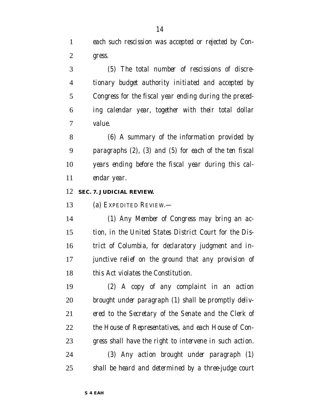*each such rescission was accepted or rejected by Con-gress.*

 *(5) The total number of rescissions of discre- tionary budget authority initiated and accepted by Congress for the fiscal year ending during the preced- ing calendar year, together with their total dollar value.*

 *(6) A summary of the information provided by paragraphs (2), (3) and (5) for each of the ten fiscal years ending before the fiscal year during this cal-endar year.*

#### *SEC. 7. JUDICIAL REVIEW.*

*(a) EXPEDITED REVIEW.—*

 *(1) Any Member of Congress may bring an ac- tion, in the United States District Court for the Dis- trict of Columbia, for declaratory judgment and in- junctive relief on the ground that any provision of this Act violates the Constitution.*

 *(2) A copy of any complaint in an action brought under paragraph (1) shall be promptly deliv- ered to the Secretary of the Senate and the Clerk of the House of Representatives, and each House of Con-gress shall have the right to intervene in such action.*

 *(3) Any action brought under paragraph (1) shall be heard and determined by a three-judge court*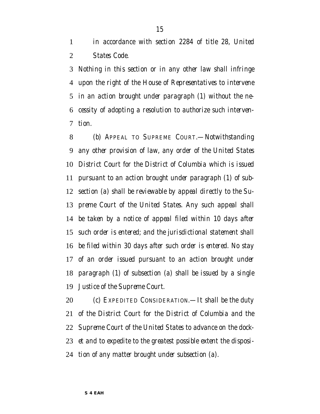*in accordance with section 2284 of title 28, United States Code.*

 *Nothing in this section or in any other law shall infringe upon the right of the House of Representatives to intervene in an action brought under paragraph (1) without the ne- cessity of adopting a resolution to authorize such interven-tion.*

 *(b) APPEAL TO SUPREME COURT.—Notwithstanding any other provision of law, any order of the United States District Court for the District of Columbia which is issued pursuant to an action brought under paragraph (1) of sub- section (a) shall be reviewable by appeal directly to the Su- preme Court of the United States. Any such appeal shall be taken by a notice of appeal filed within 10 days after such order is entered; and the jurisdictional statement shall be filed within 30 days after such order is entered. No stay of an order issued pursuant to an action brought under paragraph (1) of subsection (a) shall be issued by a single Justice of the Supreme Court.*

 *(c) EXPEDITED CONSIDERATION.—It shall be the duty of the District Court for the District of Columbia and the Supreme Court of the United States to advance on the dock- et and to expedite to the greatest possible extent the disposi-tion of any matter brought under subsection (a).*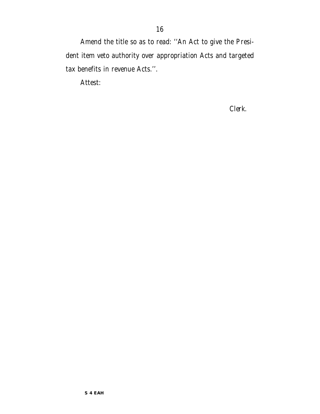Amend the title so as to read: ''An Act to give the President item veto authority over appropriation Acts and targeted tax benefits in revenue Acts.''.

Attest:

*Clerk.*